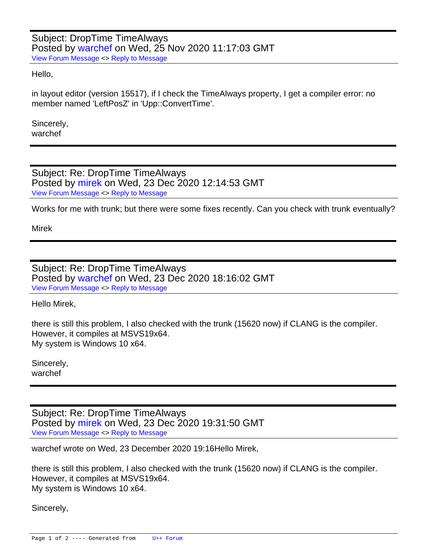## Subject: DropTime TimeAlways Posted by [warchef](https://www.ultimatepp.org/forums/index.php?t=usrinfo&id=34414) on Wed, 25 Nov 2020 11:17:03 GMT [View Forum Message](https://www.ultimatepp.org/forums/index.php?t=rview&th=11278&goto=55626#msg_55626) <> [Reply to Message](https://www.ultimatepp.org/forums/index.php?t=post&reply_to=55626)

Hello,

in layout editor (version 15517), if I check the TimeAlways property, I get a compiler error: no member named 'LeftPosZ' in 'Upp::ConvertTime'.

Sincerely, warchef

Subject: Re: DropTime TimeAlways Posted by [mirek](https://www.ultimatepp.org/forums/index.php?t=usrinfo&id=3) on Wed, 23 Dec 2020 12:14:53 GMT [View Forum Message](https://www.ultimatepp.org/forums/index.php?t=rview&th=11278&goto=55858#msg_55858) <> [Reply to Message](https://www.ultimatepp.org/forums/index.php?t=post&reply_to=55858)

Works for me with trunk; but there were some fixes recently. Can you check with trunk eventually?

Mirek

Subject: Re: DropTime TimeAlways Posted by [warchef](https://www.ultimatepp.org/forums/index.php?t=usrinfo&id=34414) on Wed, 23 Dec 2020 18:16:02 GMT [View Forum Message](https://www.ultimatepp.org/forums/index.php?t=rview&th=11278&goto=55860#msg_55860) <> [Reply to Message](https://www.ultimatepp.org/forums/index.php?t=post&reply_to=55860)

Hello Mirek,

there is still this problem, I also checked with the trunk (15620 now) if CLANG is the compiler. However, it compiles at MSVS19x64. My system is Windows 10 x64.

Sincerely, warchef

Subject: Re: DropTime TimeAlways Posted by [mirek](https://www.ultimatepp.org/forums/index.php?t=usrinfo&id=3) on Wed, 23 Dec 2020 19:31:50 GMT [View Forum Message](https://www.ultimatepp.org/forums/index.php?t=rview&th=11278&goto=55861#msg_55861) <> [Reply to Message](https://www.ultimatepp.org/forums/index.php?t=post&reply_to=55861)

warchef wrote on Wed, 23 December 2020 19:16Hello Mirek,

there is still this problem, I also checked with the trunk (15620 now) if CLANG is the compiler. However, it compiles at MSVS19x64. My system is Windows 10 x64.

Sincerely,